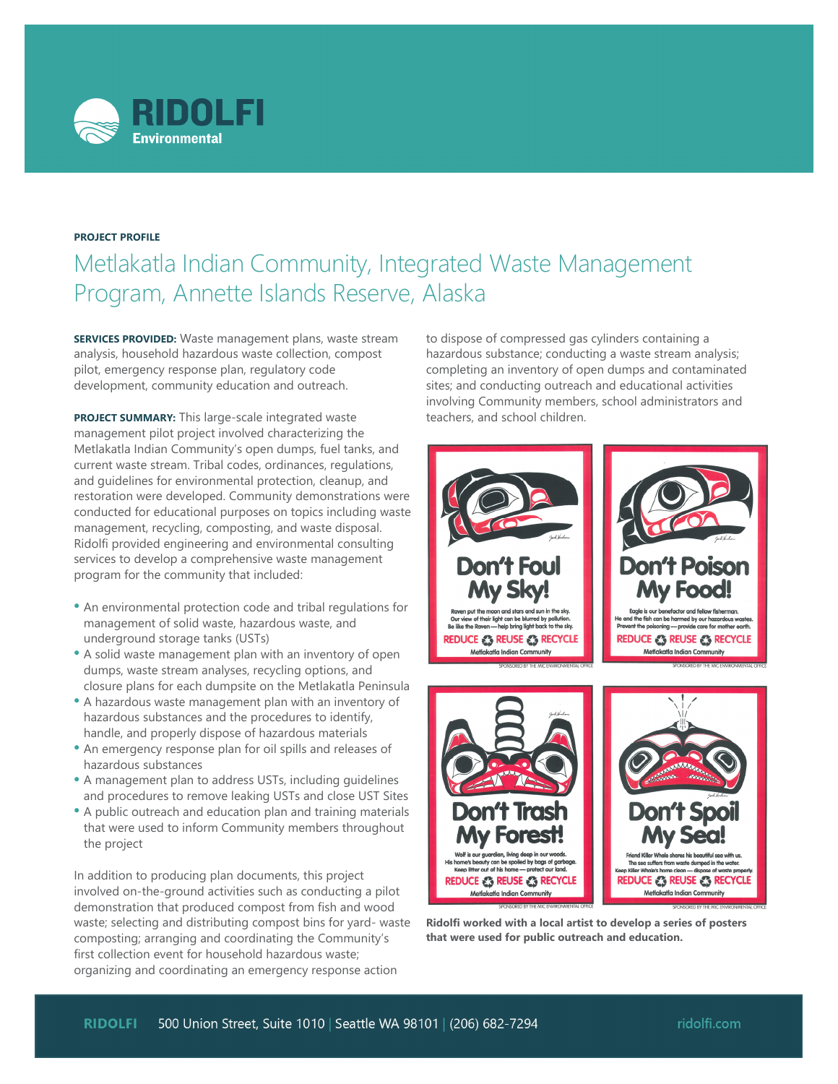

## **PROJECT PROFILE**

## Metlakatla Indian Community, Integrated Waste Management Program, Annette Islands Reserve, Alaska

**SERVICES PROVIDED:** Waste management plans, waste stream analysis, household hazardous waste collection, compost pilot, emergency response plan, regulatory code development, community education and outreach.

**PROJECT SUMMARY:** This large-scale integrated waste management pilot project involved characterizing the Metlakatla Indian Community's open dumps, fuel tanks, and current waste stream. Tribal codes, ordinances, regulations, and guidelines for environmental protection, cleanup, and restoration were developed. Community demonstrations were conducted for educational purposes on topics including waste management, recycling, composting, and waste disposal. Ridolfi provided engineering and environmental consulting services to develop a comprehensive waste management program for the community that included:

- An environmental protection code and tribal regulations for management of solid waste, hazardous waste, and underground storage tanks (USTs)
- A solid waste management plan with an inventory of open dumps, waste stream analyses, recycling options, and closure plans for each dumpsite on the Metlakatla Peninsula
- A hazardous waste management plan with an inventory of hazardous substances and the procedures to identify, handle, and properly dispose of hazardous materials
- An emergency response plan for oil spills and releases of hazardous substances
- A management plan to address USTs, including guidelines and procedures to remove leaking USTs and close UST Sites
- A public outreach and education plan and training materials that were used to inform Community members throughout the project

In addition to producing plan documents, this project involved on-the-ground activities such as conducting a pilot demonstration that produced compost from fish and wood waste; selecting and distributing compost bins for yard- waste composting; arranging and coordinating the Community's first collection event for household hazardous waste; organizing and coordinating an emergency response action

to dispose of compressed gas cylinders containing a hazardous substance; conducting a waste stream analysis; completing an inventory of open dumps and contaminated sites; and conducting outreach and educational activities involving Community members, school administrators and teachers, and school children.



**Ridolfi worked with a local artist to develop a series of posters that were used for public outreach and education.**